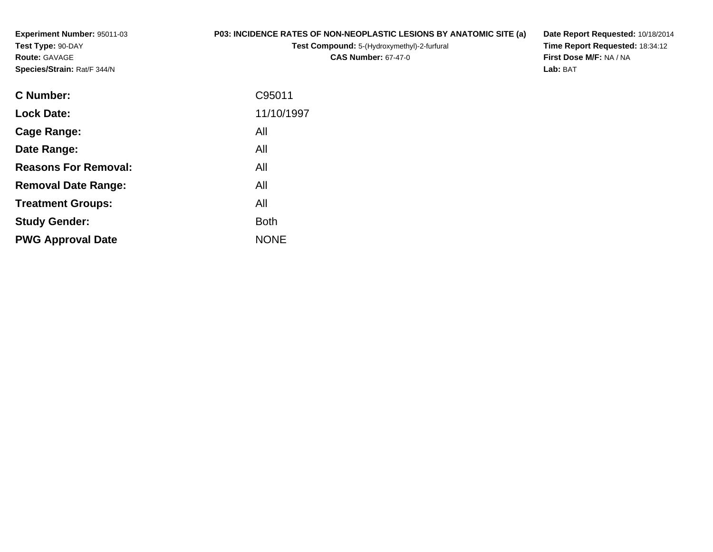**Experiment Number:** 95011-03**Test Type:** 90-DAY**Route:** GAVAGE**Species/Strain:** Rat/F 344/N

## **P03: INCIDENCE RATES OF NON-NEOPLASTIC LESIONS BY ANATOMIC SITE (a)**

**Test Compound:** 5-(Hydroxymethyl)-2-furfural **CAS Number:** 67-47-0

**Date Report Requested:** 10/18/2014 **Time Report Requested:** 18:34:12**First Dose M/F:** NA / NA**Lab:** BAT

| <b>C</b> Number:            | C95011      |
|-----------------------------|-------------|
| <b>Lock Date:</b>           | 11/10/1997  |
| Cage Range:                 | All         |
| Date Range:                 | All         |
| <b>Reasons For Removal:</b> | All         |
| <b>Removal Date Range:</b>  | All         |
| <b>Treatment Groups:</b>    | All         |
| <b>Study Gender:</b>        | <b>Both</b> |
| <b>PWG Approval Date</b>    | <b>NONE</b> |
|                             |             |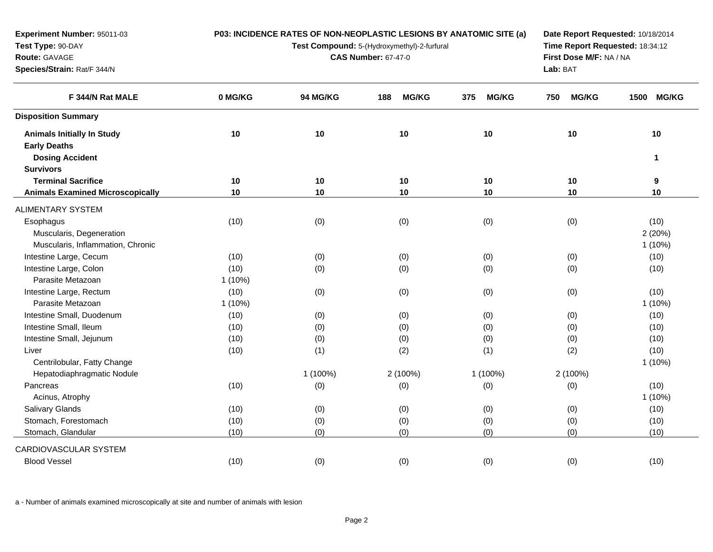| Experiment Number: 95011-03             |           |          |                                             | P03: INCIDENCE RATES OF NON-NEOPLASTIC LESIONS BY ANATOMIC SITE (a) | Date Report Requested: 10/18/2014<br>Time Report Requested: 18:34:12 |              |  |
|-----------------------------------------|-----------|----------|---------------------------------------------|---------------------------------------------------------------------|----------------------------------------------------------------------|--------------|--|
| Test Type: 90-DAY                       |           |          | Test Compound: 5-(Hydroxymethyl)-2-furfural |                                                                     |                                                                      |              |  |
| Route: GAVAGE                           |           |          | <b>CAS Number: 67-47-0</b>                  |                                                                     | First Dose M/F: NA / NA                                              |              |  |
| Species/Strain: Rat/F 344/N             |           |          |                                             |                                                                     | Lab: BAT                                                             |              |  |
| F 344/N Rat MALE                        | 0 MG/KG   | 94 MG/KG | <b>MG/KG</b><br>188                         | <b>MG/KG</b><br>375                                                 | <b>MG/KG</b><br>750                                                  | 1500 MG/KG   |  |
| <b>Disposition Summary</b>              |           |          |                                             |                                                                     |                                                                      |              |  |
| <b>Animals Initially In Study</b>       | 10        | 10       | 10                                          | 10                                                                  | 10                                                                   | 10           |  |
| <b>Early Deaths</b>                     |           |          |                                             |                                                                     |                                                                      |              |  |
| <b>Dosing Accident</b>                  |           |          |                                             |                                                                     |                                                                      | $\mathbf{1}$ |  |
| <b>Survivors</b>                        |           |          |                                             |                                                                     |                                                                      |              |  |
| <b>Terminal Sacrifice</b>               | 10        | 10       | 10                                          | 10                                                                  | 10                                                                   | 9            |  |
| <b>Animals Examined Microscopically</b> | 10        | 10       | 10                                          | 10                                                                  | 10                                                                   | 10           |  |
| <b>ALIMENTARY SYSTEM</b>                |           |          |                                             |                                                                     |                                                                      |              |  |
| Esophagus                               | (10)      | (0)      | (0)                                         | (0)                                                                 | (0)                                                                  | (10)         |  |
| Muscularis, Degeneration                |           |          |                                             |                                                                     |                                                                      | 2(20%)       |  |
| Muscularis, Inflammation, Chronic       |           |          |                                             |                                                                     |                                                                      | $1(10\%)$    |  |
| Intestine Large, Cecum                  | (10)      | (0)      | (0)                                         | (0)                                                                 | (0)                                                                  | (10)         |  |
| Intestine Large, Colon                  | (10)      | (0)      | (0)                                         | (0)                                                                 | (0)                                                                  | (10)         |  |
| Parasite Metazoan                       | $1(10\%)$ |          |                                             |                                                                     |                                                                      |              |  |
| Intestine Large, Rectum                 | (10)      | (0)      | (0)                                         | (0)                                                                 | (0)                                                                  | (10)         |  |
| Parasite Metazoan                       | $1(10\%)$ |          |                                             |                                                                     |                                                                      | $1(10\%)$    |  |
| Intestine Small, Duodenum               | (10)      | (0)      | (0)                                         | (0)                                                                 | (0)                                                                  | (10)         |  |
| Intestine Small, Ileum                  | (10)      | (0)      | (0)                                         | (0)                                                                 | (0)                                                                  | (10)         |  |
| Intestine Small, Jejunum                | (10)      | (0)      | (0)                                         | (0)                                                                 | (0)                                                                  | (10)         |  |
| Liver                                   | (10)      | (1)      | (2)                                         | (1)                                                                 | (2)                                                                  | (10)         |  |
| Centrilobular, Fatty Change             |           |          |                                             |                                                                     |                                                                      | $1(10\%)$    |  |
| Hepatodiaphragmatic Nodule              |           | 1 (100%) | 2 (100%)                                    | 1 (100%)                                                            | 2 (100%)                                                             |              |  |
| Pancreas                                | (10)      | (0)      | (0)                                         | (0)                                                                 | (0)                                                                  | (10)         |  |
| Acinus, Atrophy                         |           |          |                                             |                                                                     |                                                                      | $1(10\%)$    |  |
| Salivary Glands                         | (10)      | (0)      | (0)                                         | (0)                                                                 | (0)                                                                  | (10)         |  |
| Stomach, Forestomach                    | (10)      | (0)      | (0)                                         | (0)                                                                 | (0)                                                                  | (10)         |  |
| Stomach, Glandular                      | (10)      | (0)      | (0)                                         | (0)                                                                 | (0)                                                                  | (10)         |  |
| CARDIOVASCULAR SYSTEM                   |           |          |                                             |                                                                     |                                                                      |              |  |
| <b>Blood Vessel</b>                     | (10)      | (0)      | (0)                                         | (0)                                                                 | (0)                                                                  | (10)         |  |
|                                         |           |          |                                             |                                                                     |                                                                      |              |  |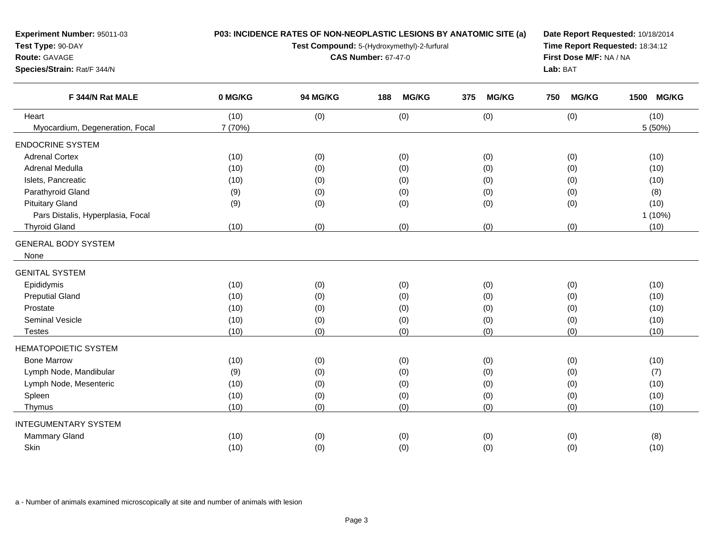**Experiment Number:** 95011-03**Test Type:** 90-DAY

## **Route:** GAVAGE

**Species/Strain:** Rat/F 344/N

## **P03: INCIDENCE RATES OF NON-NEOPLASTIC LESIONS BY ANATOMIC SITE (a)**

**Test Compound:** 5-(Hydroxymethyl)-2-furfural

**CAS Number:** 67-47-0

**Date Report Requested:** 10/18/2014 **Time Report Requested:** 18:34:12**First Dose M/F:** NA / NA**Lab:** BAT

| F 344/N Rat MALE                  | 0 MG/KG | 94 MG/KG | <b>MG/KG</b><br>188 | 375<br><b>MG/KG</b> | <b>MG/KG</b><br>750 | <b>MG/KG</b><br>1500 |
|-----------------------------------|---------|----------|---------------------|---------------------|---------------------|----------------------|
| Heart                             | (10)    | (0)      | (0)                 | (0)                 | (0)                 | (10)                 |
| Myocardium, Degeneration, Focal   | 7 (70%) |          |                     |                     |                     | 5 (50%)              |
| <b>ENDOCRINE SYSTEM</b>           |         |          |                     |                     |                     |                      |
| <b>Adrenal Cortex</b>             | (10)    | (0)      | (0)                 | (0)                 | (0)                 | (10)                 |
| Adrenal Medulla                   | (10)    | (0)      | (0)                 | (0)                 | (0)                 | (10)                 |
| Islets, Pancreatic                | (10)    | (0)      | (0)                 | (0)                 | (0)                 | (10)                 |
| Parathyroid Gland                 | (9)     | (0)      | (0)                 | (0)                 | (0)                 | (8)                  |
| <b>Pituitary Gland</b>            | (9)     | (0)      | (0)                 | (0)                 | (0)                 | (10)                 |
| Pars Distalis, Hyperplasia, Focal |         |          |                     |                     |                     | 1 (10%)              |
| <b>Thyroid Gland</b>              | (10)    | (0)      | (0)                 | (0)                 | (0)                 | (10)                 |
| <b>GENERAL BODY SYSTEM</b>        |         |          |                     |                     |                     |                      |
| None                              |         |          |                     |                     |                     |                      |
| <b>GENITAL SYSTEM</b>             |         |          |                     |                     |                     |                      |
| Epididymis                        | (10)    | (0)      | (0)                 | (0)                 | (0)                 | (10)                 |
| <b>Preputial Gland</b>            | (10)    | (0)      | (0)                 | (0)                 | (0)                 | (10)                 |
| Prostate                          | (10)    | (0)      | (0)                 | (0)                 | (0)                 | (10)                 |
| <b>Seminal Vesicle</b>            | (10)    | (0)      | (0)                 | (0)                 | (0)                 | (10)                 |
| <b>Testes</b>                     | (10)    | (0)      | (0)                 | (0)                 | (0)                 | (10)                 |
| <b>HEMATOPOIETIC SYSTEM</b>       |         |          |                     |                     |                     |                      |
| <b>Bone Marrow</b>                | (10)    | (0)      | (0)                 | (0)                 | (0)                 | (10)                 |
| Lymph Node, Mandibular            | (9)     | (0)      | (0)                 | (0)                 | (0)                 | (7)                  |
| Lymph Node, Mesenteric            | (10)    | (0)      | (0)                 | (0)                 | (0)                 | (10)                 |
| Spleen                            | (10)    | (0)      | (0)                 | (0)                 | (0)                 | (10)                 |
| Thymus                            | (10)    | (0)      | (0)                 | (0)                 | (0)                 | (10)                 |
| <b>INTEGUMENTARY SYSTEM</b>       |         |          |                     |                     |                     |                      |
| Mammary Gland                     | (10)    | (0)      | (0)                 | (0)                 | (0)                 | (8)                  |
| Skin                              | (10)    | (0)      | (0)                 | (0)                 | (0)                 | (10)                 |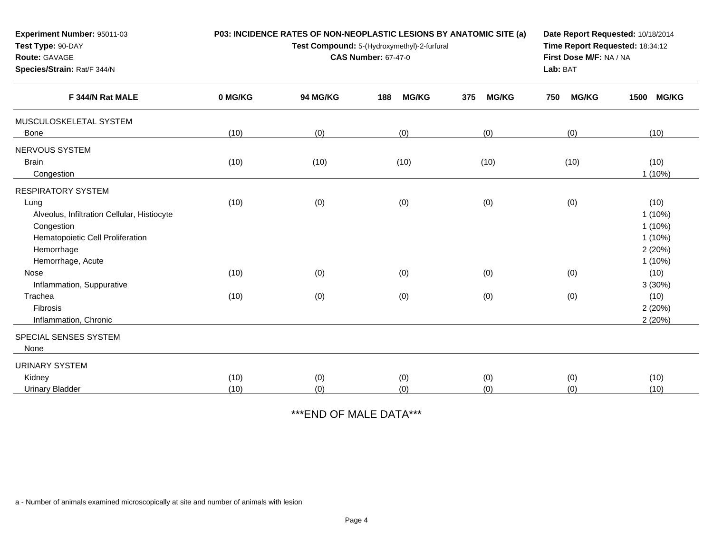| Experiment Number: 95011-03                    |         | P03: INCIDENCE RATES OF NON-NEOPLASTIC LESIONS BY ANATOMIC SITE (a) | Date Report Requested: 10/18/2014 |                                 |                         |                        |
|------------------------------------------------|---------|---------------------------------------------------------------------|-----------------------------------|---------------------------------|-------------------------|------------------------|
| Test Type: 90-DAY                              |         | Test Compound: 5-(Hydroxymethyl)-2-furfural                         |                                   | Time Report Requested: 18:34:12 |                         |                        |
| Route: GAVAGE                                  |         |                                                                     | <b>CAS Number: 67-47-0</b>        |                                 | First Dose M/F: NA / NA |                        |
| Species/Strain: Rat/F 344/N                    |         |                                                                     |                                   |                                 | Lab: BAT                |                        |
| F 344/N Rat MALE                               | 0 MG/KG | 94 MG/KG                                                            | 188<br><b>MG/KG</b>               | 375<br><b>MG/KG</b>             | <b>MG/KG</b><br>750     | <b>MG/KG</b><br>1500   |
| MUSCULOSKELETAL SYSTEM                         |         |                                                                     |                                   |                                 |                         |                        |
| <b>Bone</b>                                    | (10)    | (0)                                                                 | (0)                               | (0)                             | (0)                     | (10)                   |
| NERVOUS SYSTEM                                 |         |                                                                     |                                   |                                 |                         |                        |
| <b>Brain</b><br>Congestion                     | (10)    | (10)                                                                | (10)                              | (10)                            | (10)                    | (10)<br>$1(10\%)$      |
| <b>RESPIRATORY SYSTEM</b>                      |         |                                                                     |                                   |                                 |                         |                        |
| Lung                                           | (10)    | (0)                                                                 | (0)                               | (0)                             | (0)                     | (10)                   |
| Alveolus, Infiltration Cellular, Histiocyte    |         |                                                                     |                                   |                                 |                         | 1(10%)                 |
| Congestion<br>Hematopoietic Cell Proliferation |         |                                                                     |                                   |                                 |                         | $1(10\%)$<br>$1(10\%)$ |
| Hemorrhage                                     |         |                                                                     |                                   |                                 |                         | 2(20%)                 |
| Hemorrhage, Acute                              |         |                                                                     |                                   |                                 |                         | $1(10\%)$              |
| Nose                                           | (10)    | (0)                                                                 | (0)                               | (0)                             | (0)                     | (10)                   |
| Inflammation, Suppurative                      |         |                                                                     |                                   |                                 |                         | 3(30%)                 |
| Trachea                                        | (10)    | (0)                                                                 | (0)                               | (0)                             | (0)                     | (10)                   |
| Fibrosis                                       |         |                                                                     |                                   |                                 |                         | 2(20%)                 |
| Inflammation, Chronic                          |         |                                                                     |                                   |                                 |                         | 2(20%)                 |
| SPECIAL SENSES SYSTEM                          |         |                                                                     |                                   |                                 |                         |                        |
| None                                           |         |                                                                     |                                   |                                 |                         |                        |
| <b>URINARY SYSTEM</b>                          |         |                                                                     |                                   |                                 |                         |                        |
| Kidney                                         | (10)    | (0)                                                                 | (0)                               | (0)                             | (0)                     | (10)                   |
| <b>Urinary Bladder</b>                         | (10)    | (0)                                                                 | (0)                               | (0)                             | (0)                     | (10)                   |

\*\*\*END OF MALE DATA\*\*\*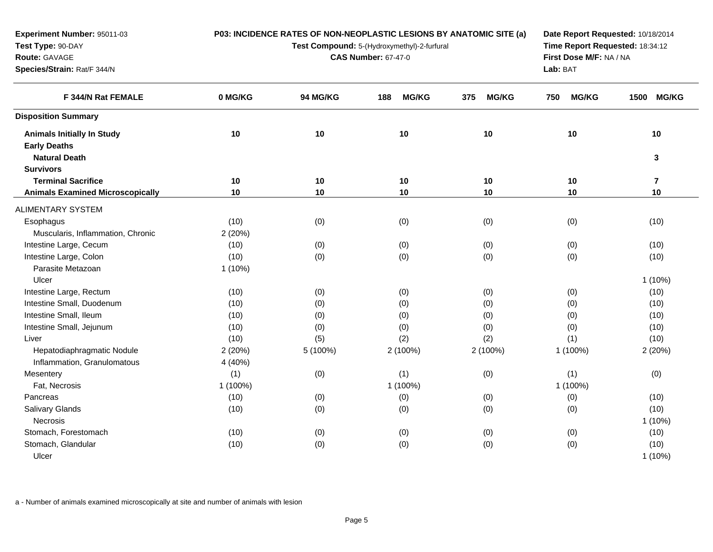| Experiment Number: 95011-03             |           |                                                                                | P03: INCIDENCE RATES OF NON-NEOPLASTIC LESIONS BY ANATOMIC SITE (a) |                     | Date Report Requested: 10/18/2014 |                         |  |  |  |
|-----------------------------------------|-----------|--------------------------------------------------------------------------------|---------------------------------------------------------------------|---------------------|-----------------------------------|-------------------------|--|--|--|
| Test Type: 90-DAY                       |           | Time Report Requested: 18:34:12<br>Test Compound: 5-(Hydroxymethyl)-2-furfural |                                                                     |                     |                                   |                         |  |  |  |
| Route: GAVAGE                           |           |                                                                                | <b>CAS Number: 67-47-0</b>                                          |                     |                                   | First Dose M/F: NA / NA |  |  |  |
| Species/Strain: Rat/F 344/N             |           |                                                                                | Lab: BAT                                                            |                     |                                   |                         |  |  |  |
| F 344/N Rat FEMALE                      | 0 MG/KG   | 94 MG/KG                                                                       | <b>MG/KG</b><br>188                                                 | 375<br><b>MG/KG</b> | <b>MG/KG</b><br>750               | <b>MG/KG</b><br>1500    |  |  |  |
| <b>Disposition Summary</b>              |           |                                                                                |                                                                     |                     |                                   |                         |  |  |  |
| <b>Animals Initially In Study</b>       | 10        | 10                                                                             | 10                                                                  | 10                  | 10                                | 10                      |  |  |  |
| <b>Early Deaths</b>                     |           |                                                                                |                                                                     |                     |                                   |                         |  |  |  |
| <b>Natural Death</b>                    |           |                                                                                |                                                                     |                     |                                   | 3                       |  |  |  |
| <b>Survivors</b>                        |           |                                                                                |                                                                     |                     |                                   |                         |  |  |  |
| <b>Terminal Sacrifice</b>               | 10        | 10                                                                             | 10                                                                  | 10                  | 10                                | $\overline{7}$          |  |  |  |
| <b>Animals Examined Microscopically</b> | 10        | 10                                                                             | $10$                                                                | 10                  | 10                                | 10                      |  |  |  |
| ALIMENTARY SYSTEM                       |           |                                                                                |                                                                     |                     |                                   |                         |  |  |  |
| Esophagus                               | (10)      | (0)                                                                            | (0)                                                                 | (0)                 | (0)                               | (10)                    |  |  |  |
| Muscularis, Inflammation, Chronic       | 2(20%)    |                                                                                |                                                                     |                     |                                   |                         |  |  |  |
| Intestine Large, Cecum                  | (10)      | (0)                                                                            | (0)                                                                 | (0)                 | (0)                               | (10)                    |  |  |  |
| Intestine Large, Colon                  | (10)      | (0)                                                                            | (0)                                                                 | (0)                 | (0)                               | (10)                    |  |  |  |
| Parasite Metazoan                       | $1(10\%)$ |                                                                                |                                                                     |                     |                                   |                         |  |  |  |
| Ulcer                                   |           |                                                                                |                                                                     |                     |                                   | $1(10\%)$               |  |  |  |
| Intestine Large, Rectum                 | (10)      | (0)                                                                            | (0)                                                                 | (0)                 | (0)                               | (10)                    |  |  |  |
| Intestine Small, Duodenum               | (10)      | (0)                                                                            | (0)                                                                 | (0)                 | (0)                               | (10)                    |  |  |  |
| Intestine Small, Ileum                  | (10)      | (0)                                                                            | (0)                                                                 | (0)                 | (0)                               | (10)                    |  |  |  |
| Intestine Small, Jejunum                | (10)      | (0)                                                                            | (0)                                                                 | (0)                 | (0)                               | (10)                    |  |  |  |
| Liver                                   | (10)      | (5)                                                                            | (2)                                                                 | (2)                 | (1)                               | (10)                    |  |  |  |
| Hepatodiaphragmatic Nodule              | 2(20%)    | 5 (100%)                                                                       | 2 (100%)                                                            | 2 (100%)            | 1 (100%)                          | 2(20%)                  |  |  |  |
| Inflammation, Granulomatous             | 4 (40%)   |                                                                                |                                                                     |                     |                                   |                         |  |  |  |
| Mesentery                               | (1)       | (0)                                                                            | (1)                                                                 | (0)                 | (1)                               | (0)                     |  |  |  |
| Fat, Necrosis                           | 1 (100%)  |                                                                                | 1 (100%)                                                            |                     | 1 (100%)                          |                         |  |  |  |
| Pancreas                                | (10)      | (0)                                                                            | (0)                                                                 | (0)                 | (0)                               | (10)                    |  |  |  |
| Salivary Glands                         | (10)      | (0)                                                                            | (0)                                                                 | (0)                 | (0)                               | (10)                    |  |  |  |
| Necrosis                                |           |                                                                                |                                                                     |                     |                                   | $1(10\%)$               |  |  |  |
| Stomach, Forestomach                    | (10)      | (0)                                                                            | (0)                                                                 | (0)                 | (0)                               | (10)                    |  |  |  |
| Stomach, Glandular                      | (10)      | (0)                                                                            | (0)                                                                 | (0)                 | (0)                               | (10)                    |  |  |  |
| Ulcer                                   |           |                                                                                |                                                                     |                     |                                   | $1(10\%)$               |  |  |  |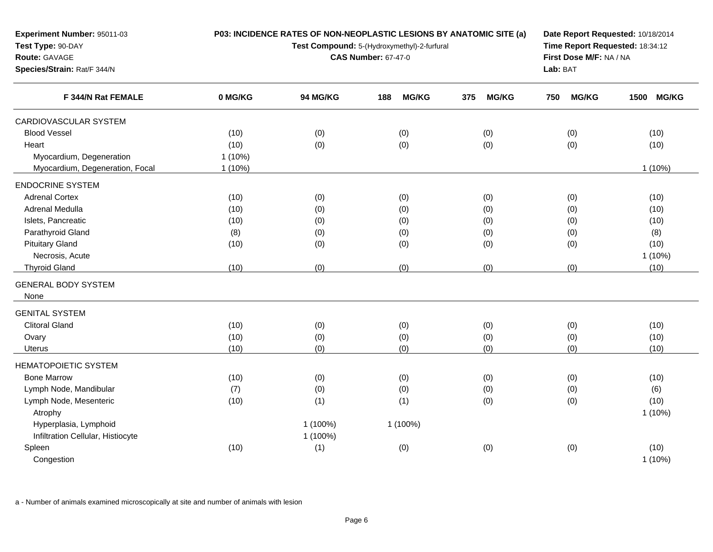| Experiment Number: 95011-03        |           | P03: INCIDENCE RATES OF NON-NEOPLASTIC LESIONS BY ANATOMIC SITE (a) | Date Report Requested: 10/18/2014<br>Time Report Requested: 18:34:12 |                     |                     |                      |
|------------------------------------|-----------|---------------------------------------------------------------------|----------------------------------------------------------------------|---------------------|---------------------|----------------------|
| Test Type: 90-DAY                  |           | Test Compound: 5-(Hydroxymethyl)-2-furfural                         |                                                                      |                     |                     |                      |
| Route: GAVAGE                      |           | <b>CAS Number: 67-47-0</b>                                          | First Dose M/F: NA / NA                                              |                     |                     |                      |
| Species/Strain: Rat/F 344/N        |           |                                                                     | Lab: BAT                                                             |                     |                     |                      |
| F 344/N Rat FEMALE                 | 0 MG/KG   | 94 MG/KG                                                            | <b>MG/KG</b><br>188                                                  | <b>MG/KG</b><br>375 | <b>MG/KG</b><br>750 | <b>MG/KG</b><br>1500 |
| CARDIOVASCULAR SYSTEM              |           |                                                                     |                                                                      |                     |                     |                      |
| <b>Blood Vessel</b>                | (10)      | (0)                                                                 | (0)                                                                  | (0)                 | (0)                 | (10)                 |
| Heart                              | (10)      | (0)                                                                 | (0)                                                                  | (0)                 | (0)                 | (10)                 |
| Myocardium, Degeneration           | $1(10\%)$ |                                                                     |                                                                      |                     |                     |                      |
| Myocardium, Degeneration, Focal    | $1(10\%)$ |                                                                     |                                                                      |                     |                     | 1 (10%)              |
| <b>ENDOCRINE SYSTEM</b>            |           |                                                                     |                                                                      |                     |                     |                      |
| <b>Adrenal Cortex</b>              | (10)      | (0)                                                                 | (0)                                                                  | (0)                 | (0)                 | (10)                 |
| Adrenal Medulla                    | (10)      | (0)                                                                 | (0)                                                                  | (0)                 | (0)                 | (10)                 |
| Islets, Pancreatic                 | (10)      | (0)                                                                 | (0)                                                                  | (0)                 | (0)                 | (10)                 |
| Parathyroid Gland                  | (8)       | (0)                                                                 | (0)                                                                  | (0)                 | (0)                 | (8)                  |
| <b>Pituitary Gland</b>             | (10)      | (0)                                                                 | (0)                                                                  | (0)                 | (0)                 | (10)                 |
| Necrosis, Acute                    |           |                                                                     |                                                                      |                     |                     | 1(10%)               |
| <b>Thyroid Gland</b>               | (10)      | (0)                                                                 | (0)                                                                  | (0)                 | (0)                 | (10)                 |
| <b>GENERAL BODY SYSTEM</b><br>None |           |                                                                     |                                                                      |                     |                     |                      |
| <b>GENITAL SYSTEM</b>              |           |                                                                     |                                                                      |                     |                     |                      |
| <b>Clitoral Gland</b>              | (10)      | (0)                                                                 | (0)                                                                  | (0)                 | (0)                 | (10)                 |
| Ovary                              | (10)      | (0)                                                                 | (0)                                                                  | (0)                 | (0)                 | (10)                 |
| Uterus                             | (10)      | (0)                                                                 | (0)                                                                  | (0)                 | (0)                 | (10)                 |
| <b>HEMATOPOIETIC SYSTEM</b>        |           |                                                                     |                                                                      |                     |                     |                      |
| <b>Bone Marrow</b>                 | (10)      | (0)                                                                 | (0)                                                                  | (0)                 | (0)                 | (10)                 |
| Lymph Node, Mandibular             | (7)       | (0)                                                                 | (0)                                                                  | (0)                 | (0)                 | (6)                  |
| Lymph Node, Mesenteric             | (10)      | (1)                                                                 | (1)                                                                  | (0)                 | (0)                 | (10)                 |
| Atrophy                            |           |                                                                     |                                                                      |                     |                     | 1 (10%)              |
| Hyperplasia, Lymphoid              |           | 1 (100%)                                                            | 1 (100%)                                                             |                     |                     |                      |
| Infiltration Cellular, Histiocyte  |           | 1 (100%)                                                            |                                                                      |                     |                     |                      |
| Spleen                             | (10)      | (1)                                                                 | (0)                                                                  | (0)                 | (0)                 | (10)                 |
| Congestion                         |           |                                                                     |                                                                      |                     |                     | 1(10%)               |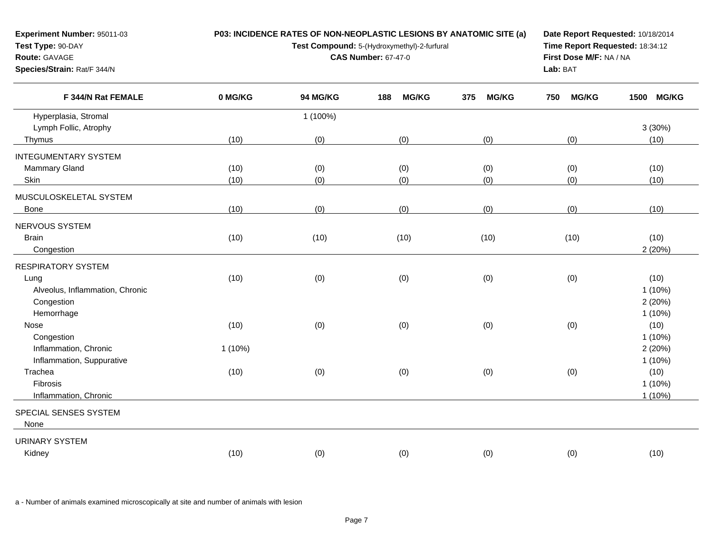| <b>Experiment Number: 95011-03</b><br>Test Type: 90-DAY<br><b>Route: GAVAGE</b><br>Species/Strain: Rat/F 344/N | P03: INCIDENCE RATES OF NON-NEOPLASTIC LESIONS BY ANATOMIC SITE (a) | Date Report Requested: 10/18/2014<br>Time Report Requested: 18:34:12<br>First Dose M/F: NA / NA<br>Lab: BAT |                     |                     |                     |                      |
|----------------------------------------------------------------------------------------------------------------|---------------------------------------------------------------------|-------------------------------------------------------------------------------------------------------------|---------------------|---------------------|---------------------|----------------------|
| F 344/N Rat FEMALE                                                                                             | 0 MG/KG                                                             | <b>94 MG/KG</b>                                                                                             | <b>MG/KG</b><br>188 | <b>MG/KG</b><br>375 | <b>MG/KG</b><br>750 | <b>MG/KG</b><br>1500 |
| Hyperplasia, Stromal                                                                                           |                                                                     | $(100\%)$                                                                                                   |                     |                     |                     |                      |
| Lymph Follic, Atrophy                                                                                          |                                                                     |                                                                                                             |                     |                     |                     | $3(30\%)$            |
| Thymus                                                                                                         | (10)                                                                | (0)                                                                                                         | (0)                 | (0)                 | (0)                 | (10)                 |
| <b>INTEGUMENTARY SYSTEM</b>                                                                                    |                                                                     |                                                                                                             |                     |                     |                     |                      |
| <b>Mammary Gland</b>                                                                                           | (10)                                                                | (0)                                                                                                         | (0)                 | (0)                 | (0)                 | (10)                 |
| Skin                                                                                                           | (10)                                                                | (0)                                                                                                         | (0)                 | (0)                 | (0)                 | (10)                 |
| MUSCULOSKELETAL SYSTEM                                                                                         |                                                                     |                                                                                                             |                     |                     |                     |                      |
| Bone                                                                                                           | (10)                                                                | (0)                                                                                                         | (0)                 | (0)                 | (0)                 | (10)                 |
| NERVOLIS SYSTEM                                                                                                |                                                                     |                                                                                                             |                     |                     |                     |                      |

| NERVOUS SYSTEM                  |        |      |      |      |      |           |
|---------------------------------|--------|------|------|------|------|-----------|
| <b>Brain</b>                    | (10)   | (10) | (10) | (10) | (10) | (10)      |
| Congestion                      |        |      |      |      |      | 2(20%)    |
| <b>RESPIRATORY SYSTEM</b>       |        |      |      |      |      |           |
| Lung                            | (10)   | (0)  | (0)  | (0)  | (0)  | (10)      |
| Alveolus, Inflammation, Chronic |        |      |      |      |      | $1(10\%)$ |
| Congestion                      |        |      |      |      |      | 2(20%)    |
| Hemorrhage                      |        |      |      |      |      | $1(10\%)$ |
| Nose                            | (10)   | (0)  | (0)  | (0)  | (0)  | (10)      |
| Congestion                      |        |      |      |      |      | $1(10\%)$ |
| Inflammation, Chronic           | 1(10%) |      |      |      |      | 2(20%)    |
| Inflammation, Suppurative       |        |      |      |      |      | $1(10\%)$ |
| Trachea                         | (10)   | (0)  | (0)  | (0)  | (0)  | (10)      |
| Fibrosis                        |        |      |      |      |      | $1(10\%)$ |
| Inflammation, Chronic           |        |      |      |      |      | $1(10\%)$ |
| SPECIAL SENSES SYSTEM           |        |      |      |      |      |           |
| None                            |        |      |      |      |      |           |
| URINARY SYSTEM                  |        |      |      |      |      |           |
| Kidney                          | (10)   | (0)  | (0)  | (0)  | (0)  | (10)      |